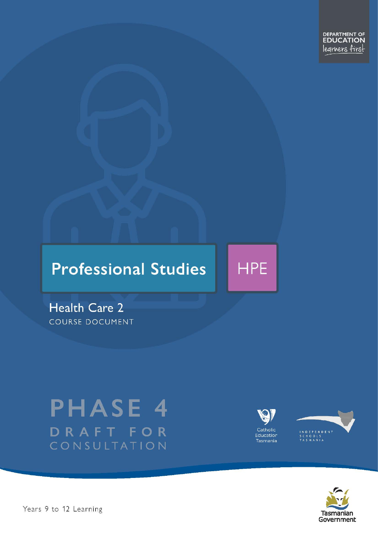DEPARTMENT OF<br>**EDUCATION** legrners first

# **Professional Studies**



**Health Care 2** COURSE DOCUMENT

# **PHASE 4** DRAFT FOR CONSULTATION







Years 9 to 12 Learning – Health Care Level 2 Page 1 of 28 Page 1 of 28 Page 1 of 28 Page 1 of 28 Page 1 of 28 Page 1 of 28 Page 1 of 28 Page 1 of 28 Page 1 of 28 Page 1 of 28 Page 1 of 28 Page 1 of 28 Page 1 of 28 Page 1 o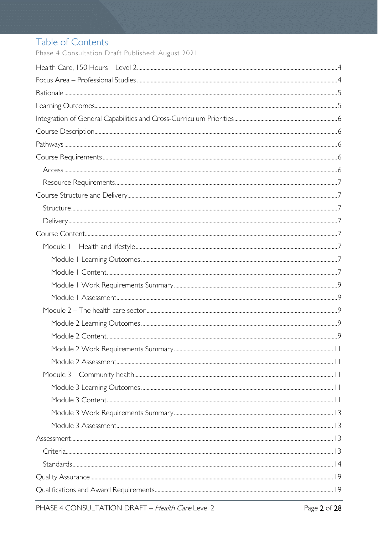# Table of Contents

Phase 4 Consultation Draft Published: August 2021

| $Structure 17$ |
|----------------|
|                |
|                |
|                |
|                |
|                |
|                |
|                |
|                |
|                |
|                |
|                |
|                |
|                |
|                |
|                |
|                |
|                |
|                |
|                |
|                |
|                |
|                |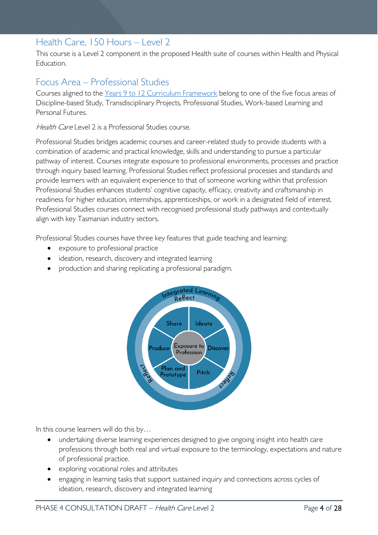# <span id="page-3-0"></span>Health Care, 150 Hours – Level 2

This course is a Level 2 component in the proposed Health suite of courses within Health and Physical Education.

# <span id="page-3-1"></span>Focus Area – Professional Studies

Courses aligned to the [Years 9 to 12 Curriculum Framework](https://publicdocumentcentre.education.tas.gov.au/library/Shared%20Documents/Education%209-12%20Frameworks%20A3%20WEB%20POSTER.pdf) belong to one of the five focus areas of Discipline-based Study, Transdisciplinary Projects, Professional Studies, Work-based Learning and Personal Futures.

Health Care Level 2 is a Professional Studies course.

Professional Studies bridges academic courses and career-related study to provide students with a combination of academic and practical knowledge, skills and understanding to pursue a particular pathway of interest. Courses integrate exposure to professional environments, processes and practice through inquiry based learning. Professional Studies reflect professional processes and standards and provide learners with an equivalent experience to that of someone working within that profession Professional Studies enhances students' cognitive capacity, efficacy, creativity and craftsmanship in readiness for higher education, internships, apprenticeships, or work in a designated field of interest. Professional Studies courses connect with recognised professional study pathways and contextually align with key Tasmanian industry sectors.

Professional Studies courses have three key features that guide teaching and learning:

- exposure to professional practice
- ideation, research, discovery and integrated learning
- production and sharing replicating a professional paradigm.



In this course learners will do this by…

- undertaking diverse learning experiences designed to give ongoing insight into health care professions through both real and virtual exposure to the terminology, expectations and nature of professional practice.
- exploring vocational roles and attributes
- engaging in learning tasks that support sustained inquiry and connections across cycles of ideation, research, discovery and integrated learning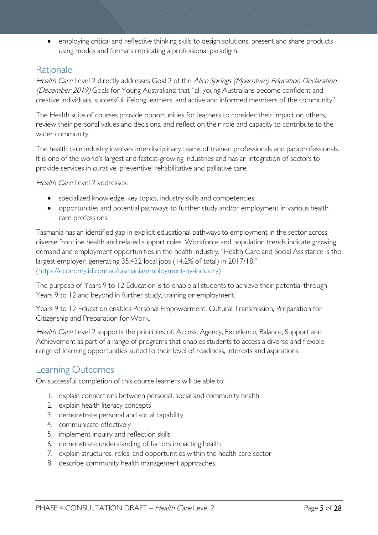• employing critical and reflective thinking skills to design solutions, present and share products using modes and formats replicating a professional paradigm.

# <span id="page-4-0"></span>Rationale

Health Care Level 2 directly addresses Goal 2 of the Alice Springs (Mparntwe) Education Declaration (December 2019) Goals for Young Australians: that "all young Australians become confident and creative individuals, successful lifelong learners, and active and informed members of the community".

The Health suite of courses provide opportunities for learners to consider their impact on others, review their personal values and decisions, and reflect on their role and capacity to contribute to the wider community.

The health care industry involves interdisciplinary teams of trained professionals and paraprofessionals. It is one of the world's largest and fastest-growing industries and has an integration of sectors to provide services in curative, preventive, rehabilitative and palliative care.

Health Care Level 2 addresses:

- specialized knowledge, key topics, industry skills and competencies,
- opportunities and potential pathways to further study and/or employment in various health care professions.

Tasmania has an identified gap in explicit educational pathways to employment in the sector across diverse frontline health and related support roles. Workforce and population trends indicate growing demand and employment opportunities in the health industry. "Health Care and Social Assistance is the largest employer, generating 35,432 local jobs (14.2% of total) in 2017/18." [\(https://economy.id.com.au/tasmania/employment-by-industry\)](https://economy.id.com.au/tasmania/employment-by-industry)

The purpose of Years 9 to 12 Education is to enable all students to achieve their potential through Years 9 to 12 and beyond in further study, training or employment.

Years 9 to 12 Education enables Personal Empowerment, Cultural Transmission, Preparation for Citizenship and Preparation for Work.

Health Care Level 2 supports the principles of: Access, Agency, Excellence, Balance, Support and Achievement as part of a range of programs that enables students to access a diverse and flexible range of learning opportunities suited to their level of readiness, interests and aspirations.

# <span id="page-4-1"></span>Learning Outcomes

On successful completion of this course learners will be able to:

- 1. explain connections between personal, social and community health
- 2. explain health literacy concepts
- 3. demonstrate personal and social capability
- 4. communicate effectively
- 5. implement inquiry and reflection skills
- 6. demonstrate understanding of factors impacting health
- 7. explain structures, roles, and opportunities within the health care sector
- 8. describe community health management approaches.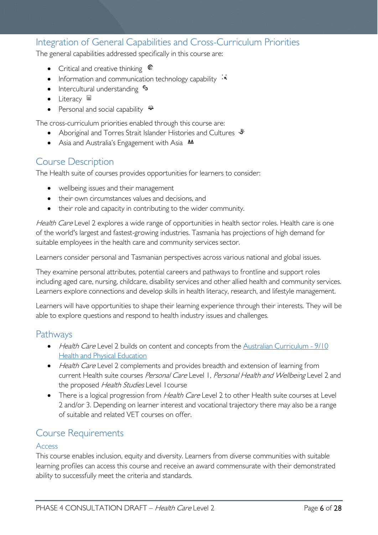# <span id="page-5-0"></span>Integration of General Capabilities and Cross-Curriculum Priorities

The general capabilities addressed specifically in this course are:

- Critical and creative thinking  $\epsilon$
- Information and communication technology capability  $\cdot \star$
- Intercultural understanding •
- Literacy  $\blacksquare$
- Personal and social capability

The cross-curriculum priorities enabled through this course are:

- Aboriginal and Torres Strait Islander Histories and Cultures  $\mathcal$
- Asia and Australia's Engagement with Asia **AA**

### <span id="page-5-1"></span>Course Description

The Health suite of courses provides opportunities for learners to consider:

- wellbeing issues and their management
- their own circumstances values and decisions, and
- their role and capacity in contributing to the wider community.

Health Care Level 2 explores a wide range of opportunities in health sector roles. Health care is one of the world's largest and fastest-growing industries. Tasmania has projections of high demand for suitable employees in the health care and community services sector.

Learners consider personal and Tasmanian perspectives across various national and global issues.

They examine personal attributes, potential careers and pathways to frontline and support roles including aged care, nursing, childcare, disability services and other allied health and community services. Learners explore connections and develop skills in health literacy, research, and lifestyle management.

Learners will have opportunities to shape their learning experience through their interests. They will be able to explore questions and respond to health industry issues and challenges.

#### <span id="page-5-2"></span>**Pathways**

- Health Care Level 2 builds on content and concepts from the Australian Curriculum 9/10 **[Health and Physical Education](http://www.australiancurriculum.edu.au/health-and-physical-education/curriculum/f-10?layout=1)**
- Health Care Level 2 complements and provides breadth and extension of learning from current Health suite courses Personal Care Level 1, Personal Health and Wellbeing Level 2 and the proposed Health Studies Level I course
- There is a logical progression from *Health Care* Level 2 to other Health suite courses at Level 2 and/or 3. Depending on learner interest and vocational trajectory there may also be a range of suitable and related VET courses on offer.

#### <span id="page-5-3"></span>Course Requirements

#### <span id="page-5-4"></span>Access

This course enables inclusion, equity and diversity. Learners from diverse communities with suitable learning profiles can access this course and receive an award commensurate with their demonstrated ability to successfully meet the criteria and standards.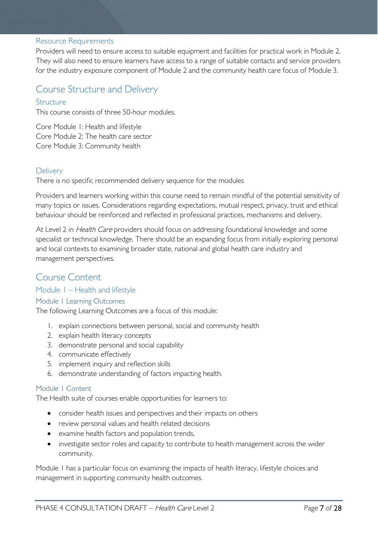#### <span id="page-6-0"></span>Resource Requirements

Providers will need to ensure access to suitable equipment and facilities for practical work in Module 2. They will also need to ensure learners have access to a range of suitable contacts and service providers for the industry exposure component of Module 2 and the community health care focus of Module 3.

### <span id="page-6-1"></span>Course Structure and Delivery

#### <span id="page-6-2"></span>Structure

This course consists of three 50-hour modules.

Core Module 1: Health and lifestyle Core Module 2: The health care sector Core Module 3: Community health

#### <span id="page-6-3"></span>**Delivery**

There is no specific recommended delivery sequence for the modules

Providers and learners working within this course need to remain mindful of the potential sensitivity of many topics or issues. Considerations regarding expectations, mutual respect, privacy, trust and ethical behaviour should be reinforced and reflected in professional practices, mechanisms and delivery.

At Level 2 in *Health Care* providers should focus on addressing foundational knowledge and some specialist or technical knowledge. There should be an expanding focus from initially exploring personal and local contexts to examining broader state, national and global health care industry and management perspectives.

#### <span id="page-6-4"></span>Course Content

#### <span id="page-6-5"></span>Module 1 – Health and lifestyle

<span id="page-6-6"></span>Module 1 Learning Outcomes

The following Learning Outcomes are a focus of this module:

- 1. explain connections between personal, social and community health
- 2. explain health literacy concepts
- 3. demonstrate personal and social capability
- 4. communicate effectively
- 5. implement inquiry and reflection skills
- 6. demonstrate understanding of factors impacting health.

#### <span id="page-6-7"></span>Module 1 Content

The Health suite of courses enable opportunities for learners to:

- consider health issues and perspectives and their impacts on others
- review personal values and health related decisions
- examine health factors and population trends,
- investigate sector roles and capacity to contribute to health management across the wider community.

Module 1 has a particular focus on examining the impacts of health literacy, lifestyle choices and management in supporting community health outcomes.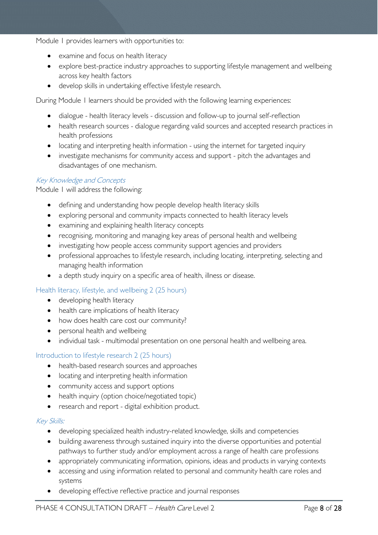Module 1 provides learners with opportunities to:

- examine and focus on health literacy
- explore best-practice industry approaches to supporting lifestyle management and wellbeing across key health factors
- develop skills in undertaking effective lifestyle research.

During Module 1 learners should be provided with the following learning experiences:

- dialogue health literacy levels discussion and follow-up to journal self-reflection
- health research sources dialogue regarding valid sources and accepted research practices in health professions
- locating and interpreting health information using the internet for targeted inquiry
- investigate mechanisms for community access and support pitch the advantages and disadvantages of one mechanism.

#### Key Knowledge and Concepts

Module 1 will address the following:

- defining and understanding how people develop health literacy skills
- exploring personal and community impacts connected to health literacy levels
- examining and explaining health literacy concepts
- recognising, monitoring and managing key areas of personal health and wellbeing
- investigating how people access community support agencies and providers
- professional approaches to lifestyle research, including locating, interpreting, selecting and managing health information
- a depth study inquiry on a specific area of health, illness or disease.

#### Health literacy, lifestyle, and wellbeing 2 (25 hours)

- developing health literacy
- health care implications of health literacy
- how does health care cost our community?
- personal health and wellbeing
- individual task multimodal presentation on one personal health and wellbeing area.

#### Introduction to lifestyle research 2 (25 hours)

- health-based research sources and approaches
- locating and interpreting health information
- community access and support options
- health inquiry (option choice/negotiated topic)
- research and report digital exhibition product.

#### Key Skills:

- developing specialized health industry-related knowledge, skills and competencies
- building awareness through sustained inquiry into the diverse opportunities and potential pathways to further study and/or employment across a range of health care professions
- appropriately communicating information, opinions, ideas and products in varying contexts
- accessing and using information related to personal and community health care roles and systems
- developing effective reflective practice and journal responses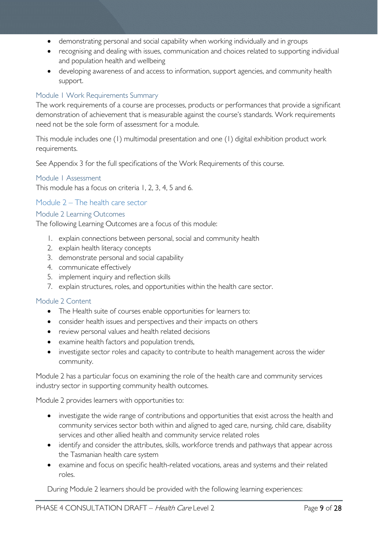- demonstrating personal and social capability when working individually and in groups
- recognising and dealing with issues, communication and choices related to supporting individual and population health and wellbeing
- developing awareness of and access to information, support agencies, and community health support.

#### <span id="page-8-0"></span>Module 1 Work Requirements Summary

The work requirements of a course are processes, products or performances that provide a significant demonstration of achievement that is measurable against the course's standards. Work requirements need not be the sole form of assessment for a module.

This module includes one (1) multimodal presentation and one (1) digital exhibition product work requirements.

See Appendix 3 for the full specifications of the Work Requirements of this course.

#### <span id="page-8-1"></span>Module 1 Assessment

This module has a focus on criteria 1, 2, 3, 4, 5 and 6.

#### <span id="page-8-2"></span>Module 2 – The health care sector

#### <span id="page-8-3"></span>Module 2 Learning Outcomes

The following Learning Outcomes are a focus of this module:

- 1. explain connections between personal, social and community health
- 2. explain health literacy concepts
- 3. demonstrate personal and social capability
- 4. communicate effectively
- 5. implement inquiry and reflection skills
- 7. explain structures, roles, and opportunities within the health care sector.

#### <span id="page-8-4"></span>Module 2 Content

- The Health suite of courses enable opportunities for learners to:
- consider health issues and perspectives and their impacts on others
- review personal values and health related decisions
- examine health factors and population trends,
- investigate sector roles and capacity to contribute to health management across the wider community.

Module 2 has a particular focus on examining the role of the health care and community services industry sector in supporting community health outcomes.

Module 2 provides learners with opportunities to:

- investigate the wide range of contributions and opportunities that exist across the health and community services sector both within and aligned to aged care, nursing, child care, disability services and other allied health and community service related roles
- identify and consider the attributes, skills, workforce trends and pathways that appear across the Tasmanian health care system
- examine and focus on specific health-related vocations, areas and systems and their related roles.

During Module 2 learners should be provided with the following learning experiences: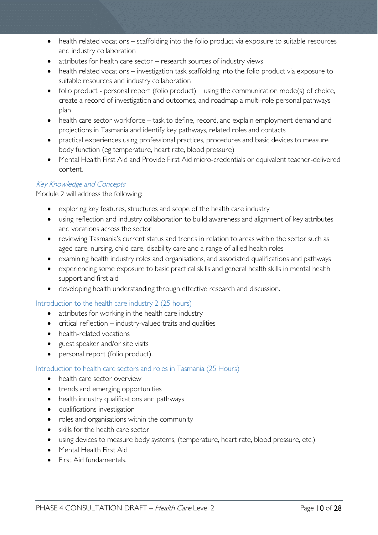- health related vocations scaffolding into the folio product via exposure to suitable resources and industry collaboration
- attributes for health care sector research sources of industry views
- health related vocations investigation task scaffolding into the folio product via exposure to suitable resources and industry collaboration
- folio product personal report (folio product) using the communication mode(s) of choice, create a record of investigation and outcomes, and roadmap a multi-role personal pathways plan
- health care sector workforce task to define, record, and explain employment demand and projections in Tasmania and identify key pathways, related roles and contacts
- practical experiences using professional practices, procedures and basic devices to measure body function (eg temperature, heart rate, blood pressure)
- Mental Health First Aid and Provide First Aid micro-credentials or equivalent teacher-delivered content.

#### Key Knowledge and Concepts

Module 2 will address the following:

- exploring key features, structures and scope of the health care industry
- using reflection and industry collaboration to build awareness and alignment of key attributes and vocations across the sector
- reviewing Tasmania's current status and trends in relation to areas within the sector such as aged care, nursing, child care, disability care and a range of allied health roles
- examining health industry roles and organisations, and associated qualifications and pathways
- experiencing some exposure to basic practical skills and general health skills in mental health support and first aid
- developing health understanding through effective research and discussion.

Introduction to the health care industry 2 (25 hours)

- attributes for working in the health care industry
- critical reflection industry-valued traits and qualities
- health-related vocations
- guest speaker and/or site visits
- personal report (folio product).

#### Introduction to health care sectors and roles in Tasmania (25 Hours)

- health care sector overview
- trends and emerging opportunities
- health industry qualifications and pathways
- qualifications investigation
- roles and organisations within the community
- skills for the health care sector
- using devices to measure body systems, (temperature, heart rate, blood pressure, etc.)
- Mental Health First Aid
- First Aid fundamentals.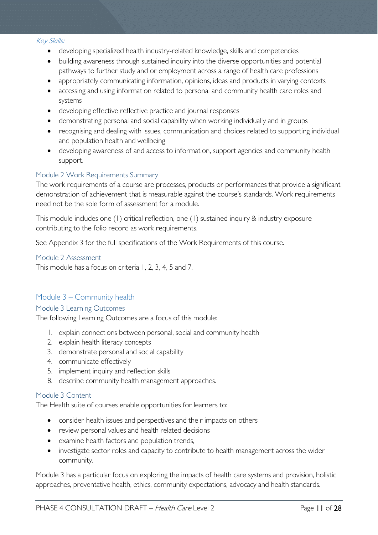#### Key Skills:

- developing specialized health industry-related knowledge, skills and competencies
- building awareness through sustained inquiry into the diverse opportunities and potential pathways to further study and or employment across a range of health care professions
- appropriately communicating information, opinions, ideas and products in varying contexts
- accessing and using information related to personal and community health care roles and systems
- developing effective reflective practice and journal responses
- demonstrating personal and social capability when working individually and in groups
- recognising and dealing with issues, communication and choices related to supporting individual and population health and wellbeing
- developing awareness of and access to information, support agencies and community health support.

#### <span id="page-10-0"></span>Module 2 Work Requirements Summary

The work requirements of a course are processes, products or performances that provide a significant demonstration of achievement that is measurable against the course's standards. Work requirements need not be the sole form of assessment for a module.

This module includes one (1) critical reflection, one (1) sustained inquiry & industry exposure contributing to the folio record as work requirements.

See Appendix 3 for the full specifications of the Work Requirements of this course.

#### <span id="page-10-1"></span>Module 2 Assessment

This module has a focus on criteria 1, 2, 3, 4, 5 and 7.

#### <span id="page-10-2"></span>Module 3 – Community health

#### <span id="page-10-3"></span>Module 3 Learning Outcomes

The following Learning Outcomes are a focus of this module:

- 1. explain connections between personal, social and community health
- 2. explain health literacy concepts
- 3. demonstrate personal and social capability
- 4. communicate effectively
- 5. implement inquiry and reflection skills
- 8. describe community health management approaches.

#### <span id="page-10-4"></span>Module 3 Content

The Health suite of courses enable opportunities for learners to:

- consider health issues and perspectives and their impacts on others
- review personal values and health related decisions
- examine health factors and population trends,
- investigate sector roles and capacity to contribute to health management across the wider community.

Module 3 has a particular focus on exploring the impacts of health care systems and provision, holistic approaches, preventative health, ethics, community expectations, advocacy and health standards.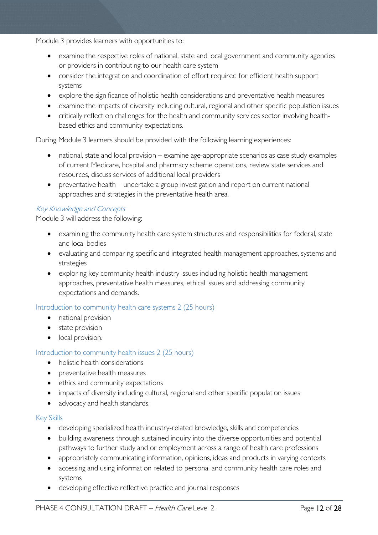Module 3 provides learners with opportunities to:

- examine the respective roles of national, state and local government and community agencies or providers in contributing to our health care system
- consider the integration and coordination of effort required for efficient health support systems
- explore the significance of holistic health considerations and preventative health measures
- examine the impacts of diversity including cultural, regional and other specific population issues
- critically reflect on challenges for the health and community services sector involving healthbased ethics and community expectations.

During Module 3 learners should be provided with the following learning experiences:

- national, state and local provision examine age-appropriate scenarios as case study examples of current Medicare, hospital and pharmacy scheme operations, review state services and resources, discuss services of additional local providers
- preventative health undertake a group investigation and report on current national approaches and strategies in the preventative health area.

#### Key Knowledge and Concepts

Module 3 will address the following:

- examining the community health care system structures and responsibilities for federal, state and local bodies
- evaluating and comparing specific and integrated health management approaches, systems and strategies
- exploring key community health industry issues including holistic health management approaches, preventative health measures, ethical issues and addressing community expectations and demands.

#### Introduction to community health care systems 2 (25 hours)

- national provision
- state provision
- local provision.

#### Introduction to community health issues 2 (25 hours)

- holistic health considerations
- preventative health measures
- ethics and community expectations
- impacts of diversity including cultural, regional and other specific population issues
- advocacy and health standards.

#### Key Skills

- developing specialized health industry-related knowledge, skills and competencies
- building awareness through sustained inquiry into the diverse opportunities and potential pathways to further study and or employment across a range of health care professions
- appropriately communicating information, opinions, ideas and products in varying contexts
- accessing and using information related to personal and community health care roles and systems
- developing effective reflective practice and journal responses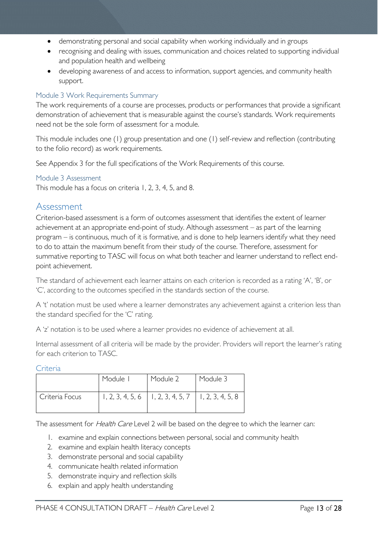- demonstrating personal and social capability when working individually and in groups
- recognising and dealing with issues, communication and choices related to supporting individual and population health and wellbeing
- developing awareness of and access to information, support agencies, and community health support.

#### <span id="page-12-0"></span>Module 3 Work Requirements Summary

The work requirements of a course are processes, products or performances that provide a significant demonstration of achievement that is measurable against the course's standards. Work requirements need not be the sole form of assessment for a module.

This module includes one (1) group presentation and one (1) self-review and reflection (contributing to the folio record) as work requirements.

See Appendix 3 for the full specifications of the Work Requirements of this course.

#### <span id="page-12-1"></span>Module 3 Assessment

This module has a focus on criteria 1, 2, 3, 4, 5, and 8.

#### <span id="page-12-2"></span>Assessment

Criterion-based assessment is a form of outcomes assessment that identifies the extent of learner achievement at an appropriate end-point of study. Although assessment – as part of the learning program – is continuous, much of it is formative, and is done to help learners identify what they need to do to attain the maximum benefit from their study of the course. Therefore, assessment for summative reporting to TASC will focus on what both teacher and learner understand to reflect endpoint achievement.

The standard of achievement each learner attains on each criterion is recorded as a rating 'A', 'B', or 'C', according to the outcomes specified in the standards section of the course.

A 't' notation must be used where a learner demonstrates any achievement against a criterion less than the standard specified for the 'C' rating.

A 'z' notation is to be used where a learner provides no evidence of achievement at all.

Internal assessment of all criteria will be made by the provider. Providers will report the learner's rating for each criterion to TASC.

<span id="page-12-3"></span>Criteria

|                | Module I | Module 2                                                 | Module 3 |
|----------------|----------|----------------------------------------------------------|----------|
| Criteria Focus |          | $1, 2, 3, 4, 5, 6$   1, 2, 3, 4, 5, 7   1, 2, 3, 4, 5, 8 |          |

The assessment for Health Care Level 2 will be based on the degree to which the learner can:

- 1. examine and explain connections between personal, social and community health
- 2. examine and explain health literacy concepts
- 3. demonstrate personal and social capability
- 4. communicate health related information
- 5. demonstrate inquiry and reflection skills
- 6. explain and apply health understanding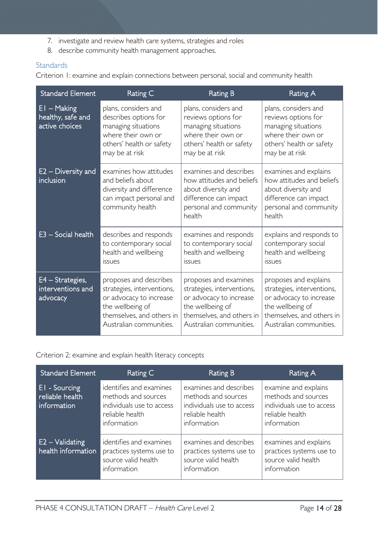- 7. investigate and review health care systems, strategies and roles
- 8. describe community health management approaches.

#### <span id="page-13-0"></span>**Standards**

Criterion 1: examine and explain connections between personal, social and community health

| <b>Standard Element</b>                              | Rating C                                                                                                                                                    | <b>Rating B</b>                                                                                                                                            | Rating A                                                                                                                                                   |
|------------------------------------------------------|-------------------------------------------------------------------------------------------------------------------------------------------------------------|------------------------------------------------------------------------------------------------------------------------------------------------------------|------------------------------------------------------------------------------------------------------------------------------------------------------------|
| $EI - Making$<br>healthy, safe and<br>active choices | plans, considers and<br>describes options for<br>managing situations<br>where their own or<br>others' health or safety<br>may be at risk                    | plans, considers and<br>reviews options for<br>managing situations<br>where their own or<br>others' health or safety<br>may be at risk                     | plans, considers and<br>reviews options for<br>managing situations<br>where their own or<br>others' health or safety<br>may be at risk                     |
| $E2 -$ Diversity and<br><i>inclusion</i>             | examines how attitudes<br>and beliefs about<br>diversity and difference<br>can impact personal and<br>community health                                      | examines and describes<br>how attitudes and beliefs<br>about diversity and<br>difference can impact<br>personal and community<br>health                    | examines and explains<br>how attitudes and beliefs<br>about diversity and<br>difference can impact<br>personal and community<br>health                     |
| $E3 - Social health$                                 | describes and responds<br>to contemporary social<br>health and wellbeing<br>issues                                                                          | examines and responds<br>to contemporary social<br>health and wellbeing<br><i>issues</i>                                                                   | explains and responds to<br>contemporary social<br>health and wellbeing<br><i>issues</i>                                                                   |
| E4 - Strategies,<br>interventions and<br>advocacy    | proposes and describes<br>strategies, interventions,<br>or advocacy to increase<br>the wellbeing of<br>themselves, and others in<br>Australian communities. | proposes and examines<br>strategies, interventions,<br>or advocacy to increase<br>the wellbeing of<br>themselves, and others in<br>Australian communities. | proposes and explains<br>strategies, interventions,<br>or advocacy to increase<br>the wellbeing of<br>themselves, and others in<br>Australian communities. |

Criterion 2: examine and explain health literacy concepts

| <b>Standard Element</b>                           | Rating C                                                                                                      | Rating B                                                                                                     | Rating A                                                                                                   |
|---------------------------------------------------|---------------------------------------------------------------------------------------------------------------|--------------------------------------------------------------------------------------------------------------|------------------------------------------------------------------------------------------------------------|
| $E1 -$ Sourcing<br>reliable health<br>information | identifies and examines<br>methods and sources<br>individuals use to access<br>reliable health<br>information | examines and describes<br>methods and sources<br>individuals use to access<br>reliable health<br>information | examine and explains<br>methods and sources<br>individuals use to access<br>reliable health<br>information |
| $E2 - Validating$<br>health information           | identifies and examines<br>practices systems use to<br>source valid health<br>information                     | examines and describes<br>practices systems use to<br>source valid health<br>information                     | examines and explains<br>practices systems use to<br>source valid health<br>information                    |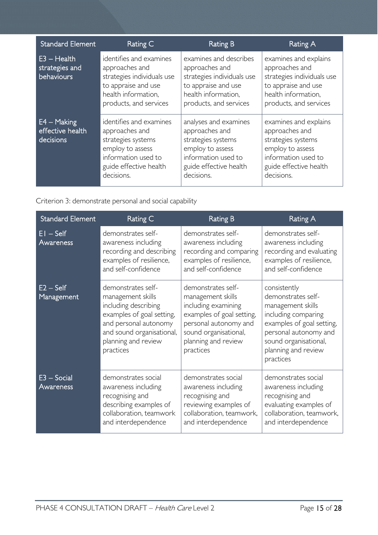| <b>Standard Element</b>                        | Rating C                                                                                                                                           | <b>Rating B</b>                                                                                                                                  | Rating A                                                                                                                                         |
|------------------------------------------------|----------------------------------------------------------------------------------------------------------------------------------------------------|--------------------------------------------------------------------------------------------------------------------------------------------------|--------------------------------------------------------------------------------------------------------------------------------------------------|
| $E3 - Health$<br>strategies and<br>behaviours  | identifies and examines<br>approaches and<br>strategies individuals use<br>to appraise and use<br>health information,<br>products, and services    | examines and describes<br>approaches and<br>strategies individuals use<br>to appraise and use<br>health information,<br>products, and services   | examines and explains<br>approaches and<br>strategies individuals use<br>to appraise and use<br>health information.<br>products, and services    |
| $E4 - Making$<br>effective health<br>decisions | identifies and examines<br>approaches and<br>strategies systems<br>employ to assess<br>information used to<br>guide effective health<br>decisions. | analyses and examines<br>approaches and<br>strategies systems<br>employ to assess<br>information used to<br>guide effective health<br>decisions. | examines and explains<br>approaches and<br>strategies systems<br>employ to assess<br>information used to<br>guide effective health<br>decisions. |

Criterion 3: demonstrate personal and social capability

| <b>Standard Element</b>    | Rating C                                                                                                                                                                               | <b>Rating B</b>                                                                                                                                                                   | Rating A                                                                                                                                                                                          |
|----------------------------|----------------------------------------------------------------------------------------------------------------------------------------------------------------------------------------|-----------------------------------------------------------------------------------------------------------------------------------------------------------------------------------|---------------------------------------------------------------------------------------------------------------------------------------------------------------------------------------------------|
| $EI - Self$<br>Awareness   | demonstrates self-<br>awareness including<br>recording and describing<br>examples of resilience,<br>and self-confidence                                                                | demonstrates self-<br>awareness including<br>recording and comparing<br>examples of resilience,<br>and self-confidence                                                            | demonstrates self-<br>awareness including<br>recording and evaluating<br>examples of resilience,<br>and self-confidence                                                                           |
| $E2 - Self$<br>Management  | demonstrates self-<br>management skills<br>including describing<br>examples of goal setting,<br>and personal autonomy<br>and sound organisational,<br>planning and review<br>practices | demonstrates self-<br>management skills<br>including examining<br>examples of goal setting,<br>personal autonomy and<br>sound organisational,<br>planning and review<br>practices | consistently<br>demonstrates self-<br>management skills<br>including comparing<br>examples of goal setting,<br>personal autonomy and<br>sound organisational,<br>planning and review<br>practices |
| $E3 - Social$<br>Awareness | demonstrates social<br>awareness including<br>recognising and<br>describing examples of<br>collaboration, teamwork<br>and interdependence                                              | demonstrates social<br>awareness including<br>recognising and<br>reviewing examples of<br>collaboration, teamwork,<br>and interdependence                                         | demonstrates social<br>awareness including<br>recognising and<br>evaluating examples of<br>collaboration, teamwork,<br>and interdependence                                                        |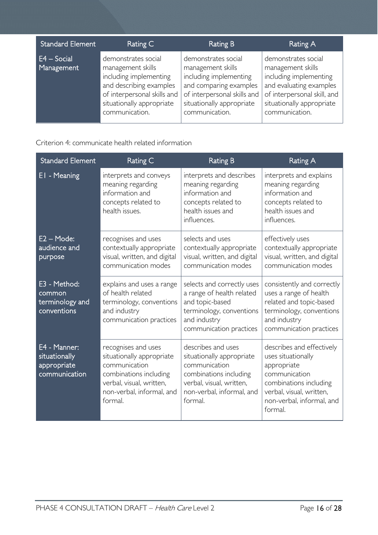| <b>Standard Element</b>     | Rating C                                                                                                                                                                    | <b>Rating B</b>                                                                                                                                                            | Rating A                                                                                                                                                                    |
|-----------------------------|-----------------------------------------------------------------------------------------------------------------------------------------------------------------------------|----------------------------------------------------------------------------------------------------------------------------------------------------------------------------|-----------------------------------------------------------------------------------------------------------------------------------------------------------------------------|
| $E4 - Social$<br>Management | demonstrates social<br>management skills<br>including implementing<br>and describing examples<br>of interpersonal skills and<br>situationally appropriate<br>communication. | demonstrates social<br>management skills<br>including implementing<br>and comparing examples<br>of interpersonal skills and<br>situationally appropriate<br>communication. | demonstrates social<br>management skills<br>including implementing<br>and evaluating examples<br>of interpersonal skill, and<br>situationally appropriate<br>communication. |

Criterion 4: communicate health related information

| <b>Standard Element</b>                                       | Rating C                                                                                                                                                        | <b>Rating B</b>                                                                                                                                                | <b>Rating A</b>                                                                                                                                                               |
|---------------------------------------------------------------|-----------------------------------------------------------------------------------------------------------------------------------------------------------------|----------------------------------------------------------------------------------------------------------------------------------------------------------------|-------------------------------------------------------------------------------------------------------------------------------------------------------------------------------|
| EI - Meaning                                                  | interprets and conveys<br>meaning regarding<br>information and<br>concepts related to<br>health issues.                                                         | interprets and describes<br>meaning regarding<br>information and<br>concepts related to<br>health issues and<br>influences.                                    | interprets and explains<br>meaning regarding<br>information and<br>concepts related to<br>health issues and<br>influences.                                                    |
| $E2 - Mode:$<br>audience and<br>purpose                       | recognises and uses<br>contextually appropriate<br>visual, written, and digital<br>communication modes                                                          | selects and uses<br>contextually appropriate<br>visual, written, and digital<br>communication modes                                                            | effectively uses<br>contextually appropriate<br>visual, written, and digital<br>communication modes                                                                           |
| E3 - Method:<br>common<br>terminology and<br>conventions      | explains and uses a range<br>of health related<br>terminology, conventions<br>and industry<br>communication practices                                           | selects and correctly uses<br>a range of health related<br>and topic-based<br>terminology, conventions<br>and industry<br>communication practices              | consistently and correctly<br>uses a range of health<br>related and topic-based<br>terminology, conventions<br>and industry<br>communication practices                        |
| E4 - Manner:<br>situationally<br>appropriate<br>communication | recognises and uses<br>situationally appropriate<br>communication<br>combinations including<br>verbal, visual, written,<br>non-verbal, informal, and<br>formal. | describes and uses<br>situationally appropriate<br>communication<br>combinations including<br>verbal, visual, written,<br>non-verbal, informal, and<br>formal. | describes and effectively<br>uses situationally<br>appropriate<br>communication<br>combinations including<br>verbal, visual, written,<br>non-verbal, informal, and<br>formal. |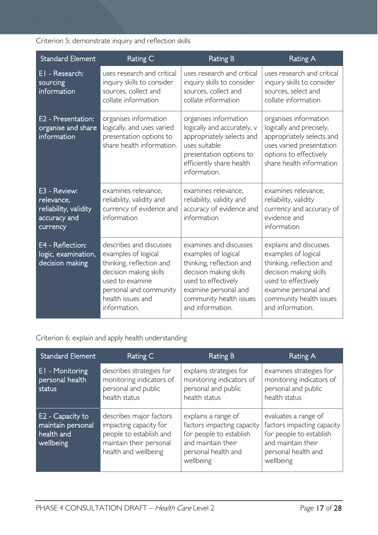### Criterion 5: demonstrate inquiry and reflection skills

| Standard Element                                                                | Rating C                                                                                                                                                                               | <b>Rating B</b>                                                                                                                                                                                   | <b>Rating A</b>                                                                                                                                                                                   |
|---------------------------------------------------------------------------------|----------------------------------------------------------------------------------------------------------------------------------------------------------------------------------------|---------------------------------------------------------------------------------------------------------------------------------------------------------------------------------------------------|---------------------------------------------------------------------------------------------------------------------------------------------------------------------------------------------------|
| EI - Research:<br>sourcing<br>information                                       | uses research and critical<br>inquiry skills to consider<br>sources, collect and<br>collate information                                                                                | uses research and critical<br>inquiry skills to consider<br>sources, collect and<br>collate information                                                                                           | uses research and critical<br>inquiry skills to consider<br>sources, select and<br>collate information                                                                                            |
| E2 - Presentation:<br>organise and share<br>information                         | organises information<br>logically, and uses varied<br>presentation options to<br>share health information.                                                                            | organises information<br>logically and accurately, v<br>appropriately selects and<br>uses suitable<br>presentation options to<br>efficiently share health<br>information.                         | organises information<br>logically and precisely,<br>appropriately selects and<br>uses varied presentation<br>options to effectively<br>share health information                                  |
| E3 - Review:<br>relevance,<br>reliability, validity<br>accuracy and<br>currency | examines relevance.<br>reliability, validity and<br>currency of evidence and<br>information                                                                                            | examines relevance.<br>reliability, validity and<br>accuracy of evidence and<br>information                                                                                                       | examines relevance.<br>reliability, validity<br>currency and accuracy of<br>evidence and<br>information                                                                                           |
| E4 - Reflection:<br>logic, examination,<br>decision making                      | describes and discusses<br>examples of logical<br>thinking, reflection and<br>decision making skills<br>used to examine<br>personal and community<br>health issues and<br>information. | examines and discusses<br>examples of logical<br>thinking, reflection and<br>decision making skills<br>used to effectively<br>examine personal and<br>community health issues<br>and information. | explains and discusses<br>examples of logical<br>thinking, reflection and<br>decision making skills<br>used to effectively<br>examine personal and<br>community health issues<br>and information. |

Criterion 6: explain and apply health understanding

| <b>Standard Element</b>                                          | Rating C                                                                                                                        | <b>Rating B</b>                                                                                                                        | Rating A                                                                                                                                |
|------------------------------------------------------------------|---------------------------------------------------------------------------------------------------------------------------------|----------------------------------------------------------------------------------------------------------------------------------------|-----------------------------------------------------------------------------------------------------------------------------------------|
| <b>EI</b> - Monitoring<br>personal health<br>status              | describes strategies for<br>monitoring indicators of<br>personal and public<br>health status                                    | explains strategies for<br>monitoring indicators of<br>personal and public<br>health status                                            | examines strategies for<br>monitoring indicators of<br>personal and public<br>health status                                             |
| E2 - Capacity to<br>maintain personal<br>health and<br>wellbeing | describes major factors<br>impacting capacity for<br>people to establish and<br>maintain their personal<br>health and wellbeing | explains a range of<br>factors impacting capacity<br>for people to establish<br>and maintain their<br>personal health and<br>wellbeing | evaluates a range of<br>factors impacting capacity<br>for people to establish<br>and maintain their<br>personal health and<br>wellbeing |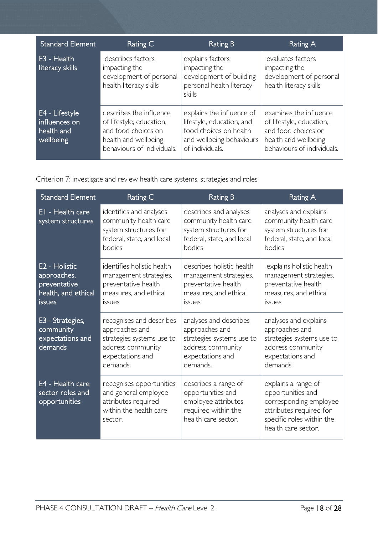| <b>Standard Element</b>                                    | Rating C                                                                                                                         | <b>Rating B</b>                                                                                                                 | Rating A                                                                                                                        |
|------------------------------------------------------------|----------------------------------------------------------------------------------------------------------------------------------|---------------------------------------------------------------------------------------------------------------------------------|---------------------------------------------------------------------------------------------------------------------------------|
| E3 - Health<br>literacy skills                             | describes factors<br>impacting the<br>development of personal<br>health literacy skills                                          | explains factors<br>impacting the<br>development of building<br>personal health literacy<br>skills                              | evaluates factors<br>impacting the<br>development of personal<br>health literacy skills                                         |
| E4 - Lifestyle<br>influences on<br>health and<br>wellbeing | describes the influence<br>of lifestyle, education,<br>and food choices on<br>health and wellbeing<br>behaviours of individuals. | explains the influence of<br>lifestyle, education, and<br>food choices on health<br>and wellbeing behaviours<br>of individuals. | examines the influence<br>of lifestyle, education,<br>and food choices on<br>health and wellbeing<br>behaviours of individuals. |

Criterion 7: investigate and review health care systems, strategies and roles

| <b>Standard Element</b>                                                              | Rating C                                                                                                                     | <b>Rating B</b>                                                                                                            | <b>Rating A</b>                                                                                                                                   |
|--------------------------------------------------------------------------------------|------------------------------------------------------------------------------------------------------------------------------|----------------------------------------------------------------------------------------------------------------------------|---------------------------------------------------------------------------------------------------------------------------------------------------|
| EI - Health care<br>system structures                                                | identifies and analyses<br>community health care<br>system structures for<br>federal, state, and local<br>bodies             | describes and analyses<br>community health care<br>system structures for<br>federal, state, and local<br>bodies            | analyses and explains<br>community health care<br>system structures for<br>federal, state, and local<br>bodies                                    |
| E2 - Holistic<br>approaches,<br>preventative<br>health, and ethical<br><b>issues</b> | identifies holistic health<br>management strategies,<br>preventative health<br>measures, and ethical<br><i>issues</i>        | describes holistic health<br>management strategies,<br>preventative health<br>measures, and ethical<br><b>ISSUES</b>       | explains holistic health<br>management strategies,<br>preventative health<br>measures, and ethical<br><i>issues</i>                               |
| E3-Strategies,<br>community<br>expectations and<br>demands                           | recognises and describes<br>approaches and<br>strategies systems use to<br>address community<br>expectations and<br>demands. | analyses and describes<br>approaches and<br>strategies systems use to<br>address community<br>expectations and<br>demands. | analyses and explains<br>approaches and<br>strategies systems use to<br>address community<br>expectations and<br>demands.                         |
| E4 - Health care<br>sector roles and<br>opportunities                                | recognises opportunities<br>and general employee<br>attributes required<br>within the health care<br>sector.                 | describes a range of<br>opportunities and<br>employee attributes<br>required within the<br>health care sector.             | explains a range of<br>opportunities and<br>corresponding employee<br>attributes required for<br>specific roles within the<br>health care sector. |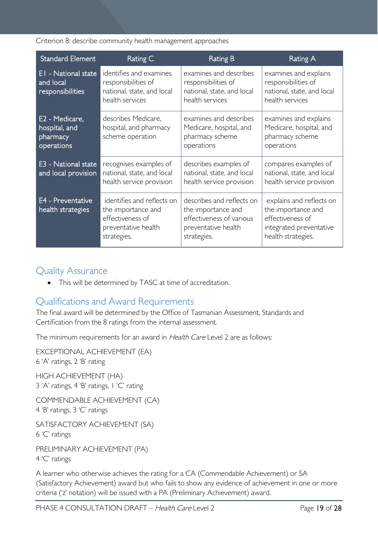Criterion 8: describe community health management approaches

| <b>Standard Element</b>                                   | Rating C                                                                                                   | Rating B                                                                                                          | Rating A                                                                                                            |
|-----------------------------------------------------------|------------------------------------------------------------------------------------------------------------|-------------------------------------------------------------------------------------------------------------------|---------------------------------------------------------------------------------------------------------------------|
| EI - National state<br>and local<br>responsibilities      | identifies and examines<br>responsibilities of<br>national, state, and local<br>health services            | examines and describes<br>responsibilities of<br>national, state, and local<br>health services                    | examines and explains<br>responsibilities of<br>national, state, and local<br>health services                       |
| E2 - Medicare,<br>hospital, and<br>pharmacy<br>operations | describes Medicare,<br>hospital, and pharmacy<br>scheme operation                                          | examines and describes<br>Medicare, hospital, and<br>pharmacy scheme<br>operations                                | examines and explains<br>Medicare, hospital, and<br>pharmacy scheme<br>operations                                   |
| E3 - National state<br>and local provision                | recognises examples of<br>national, state, and local<br>health service provision                           | describes examples of<br>national, state, and local<br>health service provision                                   | compares examples of<br>national, state, and local<br>health service provision                                      |
| E4 - Preventative<br>health strategies                    | identifies and reflects on<br>the importance and<br>effectiveness of<br>preventative health<br>strategies. | describes and reflects on<br>the importance and<br>effectiveness of various<br>preventative health<br>strategies. | explains and reflects on<br>the importance and<br>effectiveness of<br>integrated preventative<br>health strategies. |

# <span id="page-18-0"></span>Quality Assurance

• This will be determined by TASC at time of accreditation.

# <span id="page-18-1"></span>Qualifications and Award Requirements

The final award will be determined by the Office of Tasmanian Assessment, Standards and Certification from the 8 ratings from the internal assessment.

The minimum requirements for an award in Health Care Level 2 are as follows:

EXCEPTIONAL ACHIEVEMENT (EA) 6 'A' ratings, 2 'B' rating HIGH ACHIEVEMENT (HA) 3 'A' ratings, 4 'B' ratings, 1 'C' rating

COMMENDABLE ACHIEVEMENT (CA) 4 'B' ratings, 3 'C' ratings

SATISFACTORY ACHIEVEMENT (SA) 6 'C' ratings

PRELIMINARY ACHIEVEMENT (PA) 4 'C' ratings

A learner who otherwise achieves the rating for a CA (Commendable Achievement) or SA (Satisfactory Achievement) award but who fails to show any evidence of achievement in one or more criteria ('z' notation) will be issued with a PA (Preliminary Achievement) award.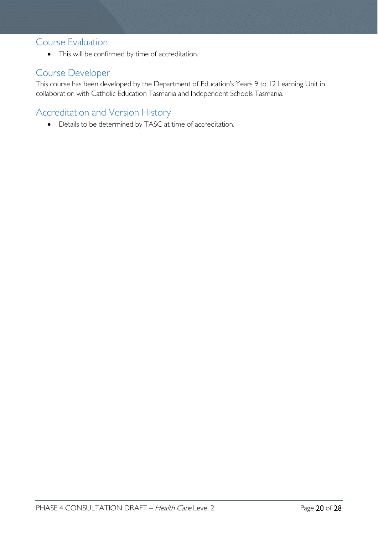### <span id="page-19-0"></span>Course Evaluation

• This will be confirmed by time of accreditation.

# <span id="page-19-1"></span>Course Developer

This course has been developed by the Department of Education's Years 9 to 12 Learning Unit in collaboration with Catholic Education Tasmania and Independent Schools Tasmania.

# <span id="page-19-2"></span>Accreditation and Version History

• Details to be determined by TASC at time of accreditation.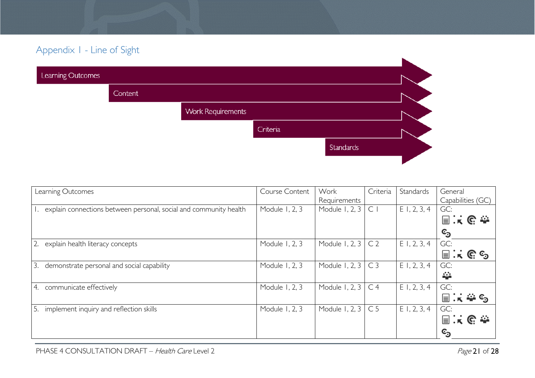# Appendix 1 - Line of Sight

| Learning Outcomes |         |                          |          |           |  |
|-------------------|---------|--------------------------|----------|-----------|--|
|                   | Content |                          |          |           |  |
|                   |         | <b>Work Requirements</b> |          |           |  |
|                   |         |                          | Criteria |           |  |
|                   |         |                          |          | Standards |  |
|                   |         |                          |          |           |  |

<span id="page-20-0"></span>

| Learning Outcomes                                                    | Course Content | Work           | Criteria       | Standards      | General                                    |
|----------------------------------------------------------------------|----------------|----------------|----------------|----------------|--------------------------------------------|
|                                                                      |                | Requirements   |                |                | Capabilities (GC)                          |
| 1. explain connections between personal, social and community health | Module 1, 2, 3 | Module 1, 2, 3 | C <sub>1</sub> | $E$ 1, 2, 3, 4 | GC:                                        |
|                                                                      |                |                |                |                | 国民民参                                       |
|                                                                      |                |                |                |                | ු                                          |
| 2.<br>explain health literacy concepts                               | Module 1, 2, 3 | Module 1, 2, 3 | C <sub>2</sub> | $E$ 1, 2, 3, 4 | GC:                                        |
|                                                                      |                |                |                |                | $\equiv$ $\mathbf{k}$ $\in$ $\mathbf{c}_3$ |
| 3.<br>demonstrate personal and social capability                     | Module 1, 2, 3 | Module 1, 2, 3 | C <sub>3</sub> | $E$ I, 2, 3, 4 | GC:                                        |
|                                                                      |                |                |                |                | 蘂                                          |
| communicate effectively<br>4.                                        | Module 1, 2, 3 | Module 1, 2, 3 | C <sub>4</sub> | $E$ 1, 2, 3, 4 | GC:                                        |
|                                                                      |                |                |                |                | ि∴ ⇔ ⊙                                     |
| 5.<br>implement inquiry and reflection skills                        | Module 1, 2, 3 | Module 1, 2, 3 | C <sub>5</sub> | $E$ 1, 2, 3, 4 | GC:                                        |
|                                                                      |                |                |                |                | 国民职委                                       |
|                                                                      |                |                |                |                | ©ි                                         |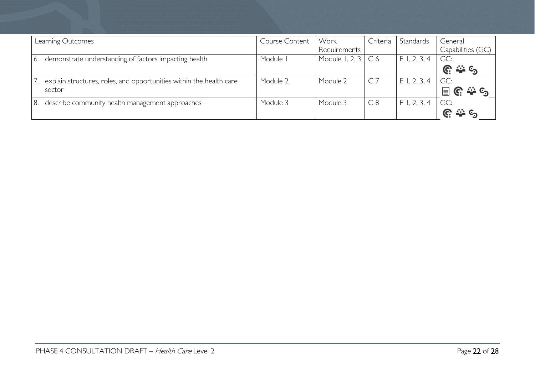| Learning Outcomes |                                                                     | Course Content | Work           | Criteria       | Standards   | General           |
|-------------------|---------------------------------------------------------------------|----------------|----------------|----------------|-------------|-------------------|
|                   |                                                                     |                | Requirements   |                |             | Capabilities (GC) |
| 6.                | demonstrate understanding of factors impacting health               | Module I       | Module 1, 2, 3 | C <sub>6</sub> | E1, 2, 3, 4 | GC:               |
|                   |                                                                     |                |                |                |             | 22 C              |
|                   | explain structures, roles, and opportunities within the health care | Module 2       | Module 2       | $\overline{C}$ | E1, 2, 3, 4 | GC:               |
| sector            |                                                                     |                |                |                |             | ANG CA<br>冒       |
| 8.                | describe community health management approaches                     | Module 3       | Module 3       | C8             | E1, 2, 3, 4 | GC:               |
|                   |                                                                     |                |                |                |             |                   |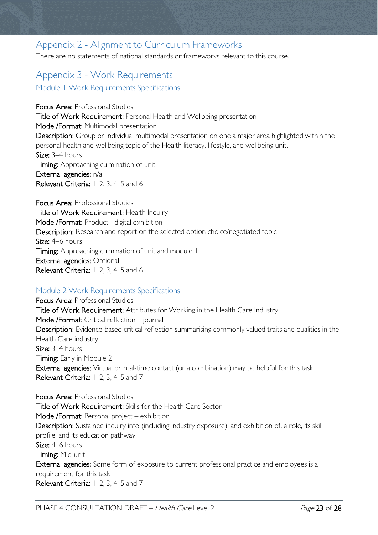# <span id="page-22-0"></span>Appendix 2 - Alignment to Curriculum Frameworks

There are no statements of national standards or frameworks relevant to this course.

# <span id="page-22-2"></span><span id="page-22-1"></span>Appendix 3 - Work Requirements Module 1 Work Requirements Specifications

Focus Area: Professional Studies Title of Work Requirement: Personal Health and Wellbeing presentation Mode /Format: Multimodal presentation Description: Group or individual multimodal presentation on one a major area highlighted within the personal health and wellbeing topic of the Health literacy, lifestyle, and wellbeing unit. Size: 3–4 hours Timing: Approaching culmination of unit External agencies: n/a Relevant Criteria: 1, 2, 3, 4, 5 and 6

Focus Area: Professional Studies Title of Work Requirement: Health Inquiry Mode /Format: Product - digital exhibition Description: Research and report on the selected option choice/negotiated topic Size: 4–6 hours **Timing:** Approaching culmination of unit and module 1 External agencies: Optional Relevant Criteria: 1, 2, 3, 4, 5 and 6

#### <span id="page-22-3"></span>Module 2 Work Requirements Specifications

Focus Area: Professional Studies Title of Work Requirement: Attributes for Working in the Health Care Industry Mode /Format: Critical reflection – journal Description: Evidence-based critical reflection summarising commonly valued traits and qualities in the Health Care industry Size: 3–4 hours Timing: Early in Module 2 External agencies: Virtual or real-time contact (or a combination) may be helpful for this task Relevant Criteria: 1, 2, 3, 4, 5 and 7

Focus Area: Professional Studies Title of Work Requirement: Skills for the Health Care Sector Mode /Format: Personal project – exhibition Description: Sustained inquiry into (including industry exposure), and exhibition of, a role, its skill profile, and its education pathway Size: 4–6 hours Timing: Mid-unit External agencies: Some form of exposure to current professional practice and employees is a requirement for this task Relevant Criteria: 1, 2, 3, 4, 5 and 7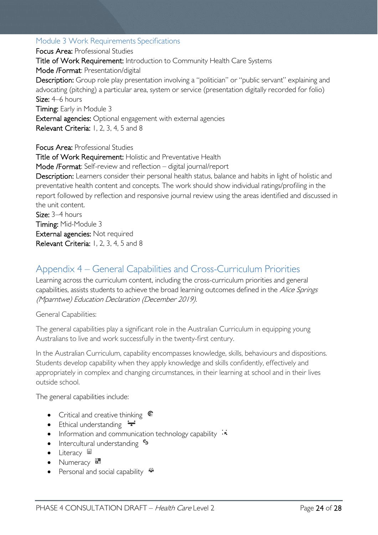#### <span id="page-23-0"></span>Module 3 Work Requirements Specifications

Focus Area: Professional Studies Title of Work Requirement: Introduction to Community Health Care Systems Mode /Format: Presentation/digital Description: Group role play presentation involving a "politician" or "public servant" explaining and advocating (pitching) a particular area, system or service (presentation digitally recorded for folio) Size: 4–6 hours Timing: Early in Module 3 External agencies: Optional engagement with external agencies Relevant Criteria: 1, 2, 3, 4, 5 and 8 Focus Area: Professional Studies Title of Work Requirement: Holistic and Preventative Health Mode /Format: Self-review and reflection – digital journal/report Description: Learners consider their personal health status, balance and habits in light of holistic and preventative health content and concepts. The work should show individual ratings/profiling in the report followed by reflection and responsive journal review using the areas identified and discussed in the unit content. Size: 3–4 hours Timing: Mid-Module 3 External agencies: Not required

Relevant Criteria: 1, 2, 3, 4, 5 and 8

# <span id="page-23-1"></span>Appendix 4 – General Capabilities and Cross-Curriculum Priorities

Learning across the curriculum content, including the cross-curriculum priorities and general capabilities, assists students to achieve the broad learning outcomes defined in the Alice Springs (Mparntwe) Education Declaration (December 2019).

General Capabilities:

The general capabilities play a significant role in the Australian Curriculum in equipping young Australians to live and work successfully in the twenty-first century.

In the Australian Curriculum, capability encompasses knowledge, skills, behaviours and dispositions. Students develop capability when they apply knowledge and skills confidently, effectively and appropriately in complex and changing circumstances, in their learning at school and in their lives outside school.

The general capabilities include:

- Critical and creative thinking  $\mathbb{C}$
- Ethical understanding  $\div$
- Information and communication technology capability  $\cdot \cdot$
- Intercultural understanding  $\frac{c_3}{2}$
- Literacy  $\blacksquare$
- Numeracy  $\frac{1}{\ln 2}$
- Personal and social capability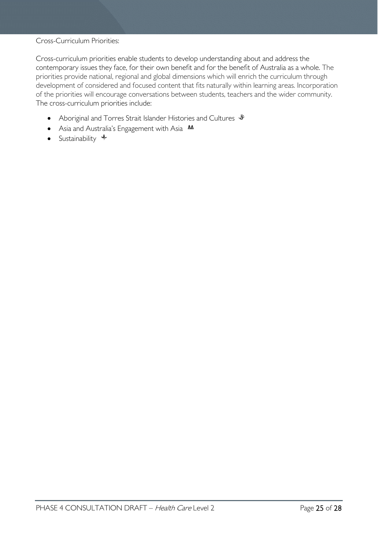#### Cross-Curriculum Priorities:

Cross-curriculum priorities enable students to develop understanding about and address the contemporary issues they face, for their own benefit and for the benefit of Australia as a whole. The priorities provide national, regional and global dimensions which will enrich the curriculum through development of considered and focused content that fits naturally within learning areas. Incorporation of the priorities will encourage conversations between students, teachers and the wider community. The cross-curriculum priorities include:

- Aboriginal and Torres Strait Islander Histories and Cultures  $\mathcal *$
- Asia and Australia's Engagement with Asia **MA**
- Sustainability  $\triangleleft$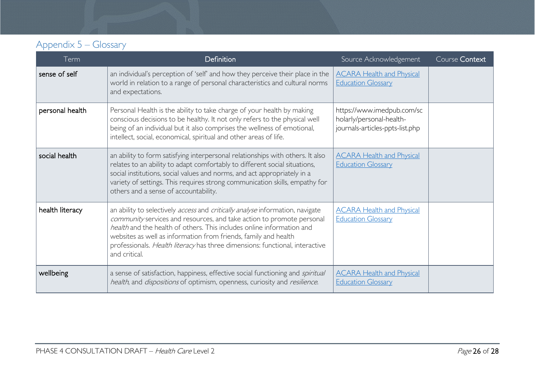# Appendix 5 – Glossary

<span id="page-25-0"></span>

| Term            | Definition                                                                                                                                                                                                                                                                                                                                                                                          | Source Acknowledgement                                                                    | Course Context |
|-----------------|-----------------------------------------------------------------------------------------------------------------------------------------------------------------------------------------------------------------------------------------------------------------------------------------------------------------------------------------------------------------------------------------------------|-------------------------------------------------------------------------------------------|----------------|
| sense of self   | an individual's perception of 'self' and how they perceive their place in the<br>world in relation to a range of personal characteristics and cultural norms<br>and expectations.                                                                                                                                                                                                                   | <b>ACARA Health and Physical</b><br><b>Education Glossary</b>                             |                |
| personal health | Personal Health is the ability to take charge of your health by making<br>conscious decisions to be healthy. It not only refers to the physical well<br>being of an individual but it also comprises the wellness of emotional,<br>intellect, social, economical, spiritual and other areas of life.                                                                                                | https://www.imedpub.com/sc<br>holarly/personal-health-<br>journals-articles-ppts-list.php |                |
| social health   | an ability to form satisfying interpersonal relationships with others. It also<br>relates to an ability to adapt comfortably to different social situations,<br>social institutions, social values and norms, and act appropriately in a<br>variety of settings. This requires strong communication skills, empathy for<br>others and a sense of accountability.                                    | <b>ACARA Health and Physical</b><br><b>Education Glossary</b>                             |                |
| health literacy | an ability to selectively access and critically analyse information, navigate<br>community services and resources, and take action to promote personal<br>health and the health of others. This includes online information and<br>websites as well as information from friends, family and health<br>professionals. Health literacy has three dimensions: functional, interactive<br>and critical. | <b>ACARA Health and Physical</b><br><b>Education Glossary</b>                             |                |
| wellbeing       | a sense of satisfaction, happiness, effective social functioning and spiritual<br>health, and dispositions of optimism, openness, curiosity and resilience.                                                                                                                                                                                                                                         | <b>ACARA Health and Physical</b><br><b>Education Glossary</b>                             |                |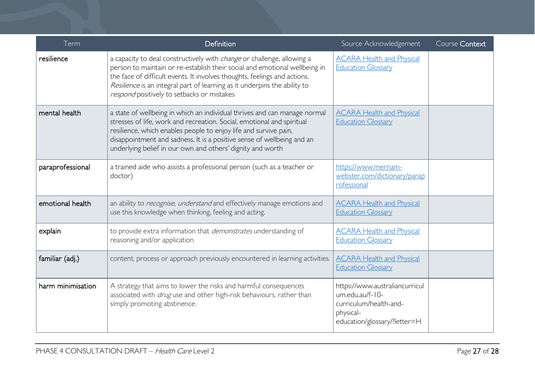| Term              | Definition                                                                                                                                                                                                                                                                                                                                                          | Source Acknowledgement                                                                                                   | Course Context |
|-------------------|---------------------------------------------------------------------------------------------------------------------------------------------------------------------------------------------------------------------------------------------------------------------------------------------------------------------------------------------------------------------|--------------------------------------------------------------------------------------------------------------------------|----------------|
| resilience        | a capacity to deal constructively with <i>change</i> or challenge, allowing a<br>person to maintain or re-establish their social and emotional wellbeing in<br>the face of difficult events. It involves thoughts, feelings and actions.<br>Resilience is an integral part of learning as it underpins the ability to<br>respond positively to setbacks or mistakes | <b>ACARA Health and Physical</b><br><b>Education Glossary</b>                                                            |                |
| mental health     | a state of wellbeing in which an individual thrives and can manage normal<br>stresses of life, work and recreation. Social, emotional and spiritual<br>resilience, which enables people to enjoy life and survive pain,<br>disappointment and sadness. It is a positive sense of wellbeing and an<br>underlying belief in our own and others' dignity and worth     | <b>ACARA Health and Physical</b><br><b>Education Glossary</b>                                                            |                |
| paraprofessional  | a trained aide who assists a professional person (such as a teacher or<br>doctor)                                                                                                                                                                                                                                                                                   | https://www.merriam-<br>webster.com/dictionary/parap<br>rofessional                                                      |                |
| emotional health  | an ability to recognise, understand and effectively manage emotions and<br>use this knowledge when thinking, feeling and acting.                                                                                                                                                                                                                                    | <b>ACARA Health and Physical</b><br><b>Education Glossary</b>                                                            |                |
| explain           | to provide extra information that <i>demonstrates</i> understanding of<br>reasoning and/or application                                                                                                                                                                                                                                                              | <b>ACARA Health and Physical</b><br><b>Education Glossary</b>                                                            |                |
| familiar (adj.)   | content, process or approach previously encountered in learning activities.                                                                                                                                                                                                                                                                                         | <b>ACARA Health and Physical</b><br><b>Education Glossary</b>                                                            |                |
| harm minimisation | A strategy that aims to lower the risks and harmful consequences<br>associated with <i>drug</i> use and other high-risk behaviours, rather than<br>simply promoting abstinence.                                                                                                                                                                                     | https://www.australiancurricul<br>um.edu.au/f-10-<br>curriculum/health-and-<br>physical-<br>education/glossary/?letter=H |                |